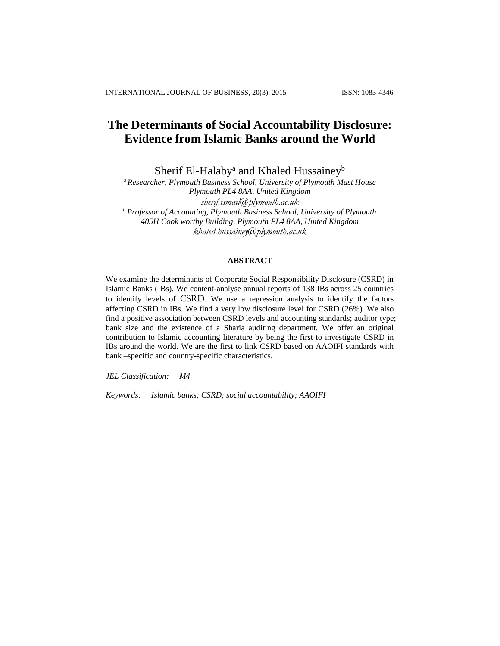# **The Determinants of Social Accountability Disclosure: Evidence from Islamic Banks around the World**

Sherif El-Halaby<sup>a</sup> and Khaled Hussainey<sup>b</sup>

*<sup>a</sup> Researcher, Plymouth Business School, University of Plymouth Mast House Plymouth PL4 8AA, United Kingdom sherif.ismail@plymouth.ac.uk <sup>b</sup> Professor of Accounting, Plymouth Business School, University of Plymouth 405H Cook worthy Building, Plymouth PL4 8AA, United Kingdom [khaled.hussainey@plymouth.ac.uk](mailto:khaled.hussainey@plymouth.ac.uk)*

## **ABSTRACT**

We examine the determinants of Corporate Social Responsibility Disclosure (CSRD) in Islamic Banks (IBs). We content-analyse annual reports of 138 IBs across 25 countries to identify levels of CSRD. We use a regression analysis to identify the factors affecting CSRD in IBs. We find a very low disclosure level for CSRD (26%). We also find a positive association between CSRD levels and accounting standards; auditor type; bank size and the existence of a Sharia auditing department. We offer an original contribution to Islamic accounting literature by being the first to investigate CSRD in IBs around the world. We are the first to link CSRD based on AAOIFI standards with bank –specific and country-specific characteristics.

*JEL Classification: M4*

*Keywords: Islamic banks; CSRD; social accountability; AAOIFI*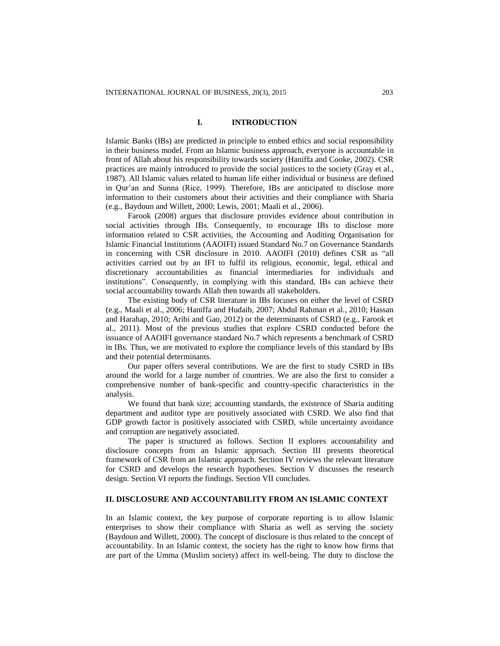## **I. INTRODUCTION**

Islamic Banks (IBs) are predicted in principle to embed ethics and social responsibility in their business model. From an Islamic business approach, everyone is accountable in front of Allah about his responsibility towards society (Haniffa and Cooke, 2002). CSR practices are mainly introduced to provide the social justices to the society (Gray et al., 1987). All Islamic values related to human life either individual or business are defined in Qur'an and Sunna (Rice, 1999). Therefore, IBs are anticipated to disclose more information to their customers about their activities and their compliance with Sharia (e.g., Baydoun and Willett, 2000; Lewis, 2001; Maali et al., 2006).

Farook (2008) argues that disclosure provides evidence about contribution in social activities through IBs. Consequently, to encourage IBs to disclose more information related to CSR activities, the Accounting and Auditing Organisation for Islamic Financial Institutions (AAOIFI) issued Standard No.7 on Governance Standards in concerning with CSR disclosure in 2010. AAOIFI (2010) defines CSR as "all activities carried out by an IFI to fulfil its religious, economic, legal, ethical and discretionary accountabilities as financial intermediaries for individuals and institutions". Consequently, in complying with this standard, IBs can achieve their social accountability towards Allah then towards all stakeholders.

The existing body of CSR literature in IBs focuses on either the level of CSRD (e.g., Maali et al., 2006; Haniffa and Hudaib, 2007; Abdul Rahman et al., 2010; Hassan and Harahap, 2010; Aribi and Gao, 2012) or the determinants of CSRD (e.g., Farook et al., 2011). Most of the previous studies that explore CSRD conducted before the issuance of AAOIFI governance standard No.7 which represents a benchmark of CSRD in IBs. Thus, we are motivated to explore the compliance levels of this standard by IBs and their potential determinants.

Our paper offers several contributions. We are the first to study CSRD in IBs around the world for a large number of countries. We are also the first to consider a comprehensive number of bank-specific and country-specific characteristics in the analysis.

We found that bank size; accounting standards, the existence of Sharia auditing department and auditor type are positively associated with CSRD. We also find that GDP growth factor is positively associated with CSRD, while uncertainty avoidance and corruption are negatively associated.

The paper is structured as follows. Section II explores accountability and disclosure concepts from an Islamic approach. Section III presents theoretical framework of CSR from an Islamic approach. Section IV reviews the relevant literature for CSRD and develops the research hypotheses. Section V discusses the research design. Section VI reports the findings. Section VII concludes.

## **II. DISCLOSURE AND ACCOUNTABILITY FROM AN ISLAMIC CONTEXT**

In an Islamic context, the key purpose of corporate reporting is to allow Islamic enterprises to show their compliance with Sharia as well as serving the society (Baydoun and Willett, 2000). The concept of disclosure is thus related to the concept of accountability. In an Islamic context, the society has the right to know how firms that are part of the Umma (Muslim society) affect its well-being. The duty to disclose the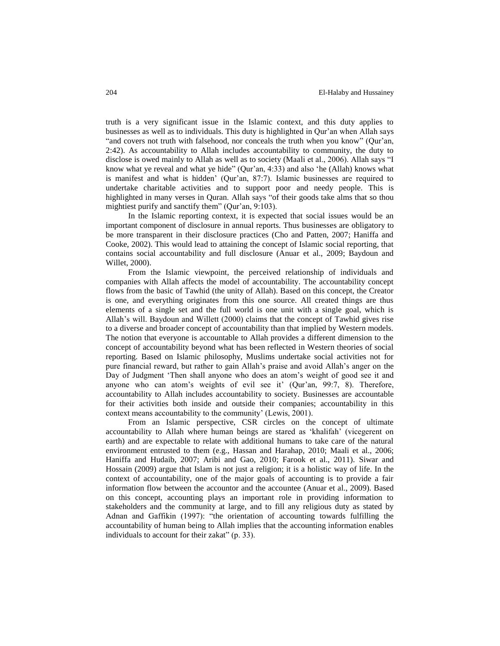truth is a very significant issue in the Islamic context, and this duty applies to businesses as well as to individuals. This duty is highlighted in Qur'an when Allah says "and covers not truth with falsehood, nor conceals the truth when you know" (Qur'an, 2:42). As accountability to Allah includes accountability to community, the duty to disclose is owed mainly to Allah as well as to society (Maali et al., 2006). Allah says "I know what ye reveal and what ye hide" (Qur'an, 4:33) and also 'he (Allah) knows what is manifest and what is hidden' (Qur'an, 87:7). Islamic businesses are required to undertake charitable activities and to support poor and needy people. This is highlighted in many verses in Quran. Allah says "of their goods take alms that so thou mightiest purify and sanctify them" (Qur'an, 9:103).

In the Islamic reporting context, it is expected that social issues would be an important component of disclosure in annual reports. Thus businesses are obligatory to be more transparent in their disclosure practices (Cho and Patten, 2007; Haniffa and Cooke, 2002). This would lead to attaining the concept of Islamic social reporting, that contains social accountability and full disclosure (Anuar et al., 2009; Baydoun and Willet, 2000).

From the Islamic viewpoint, the perceived relationship of individuals and companies with Allah affects the model of accountability. The accountability concept flows from the basic of Tawhid (the unity of Allah). Based on this concept, the Creator is one, and everything originates from this one source. All created things are thus elements of a single set and the full world is one unit with a single goal, which is Allah's will. Baydoun and Willett (2000) claims that the concept of Tawhid gives rise to a diverse and broader concept of accountability than that implied by Western models. The notion that everyone is accountable to Allah provides a different dimension to the concept of accountability beyond what has been reflected in Western theories of social reporting. Based on Islamic philosophy, Muslims undertake social activities not for pure financial reward, but rather to gain Allah's praise and avoid Allah's anger on the Day of Judgment 'Then shall anyone who does an atom's weight of good see it and anyone who can atom's weights of evil see it' (Qur'an, 99:7, 8). Therefore, accountability to Allah includes accountability to society. Businesses are accountable for their activities both inside and outside their companies; accountability in this context means accountability to the community' (Lewis, 2001).

From an Islamic perspective, CSR circles on the concept of ultimate accountability to Allah where human beings are stared as 'khalifah' (vicegerent on earth) and are expectable to relate with additional humans to take care of the natural environment entrusted to them (e.g., Hassan and Harahap, 2010; Maali et al., 2006; Haniffa and Hudaib, 2007; Aribi and Gao, 2010; Farook et al., 2011). Siwar and Hossain (2009) argue that Islam is not just a religion; it is a holistic way of life. In the context of accountability, one of the major goals of accounting is to provide a fair information flow between the accountor and the accountee (Anuar et al., 2009). Based on this concept, accounting plays an important role in providing information to stakeholders and the community at large, and to fill any religious duty as stated by Adnan and Gaffikin (1997): "the orientation of accounting towards fulfilling the accountability of human being to Allah implies that the accounting information enables individuals to account for their zakat" (p. 33).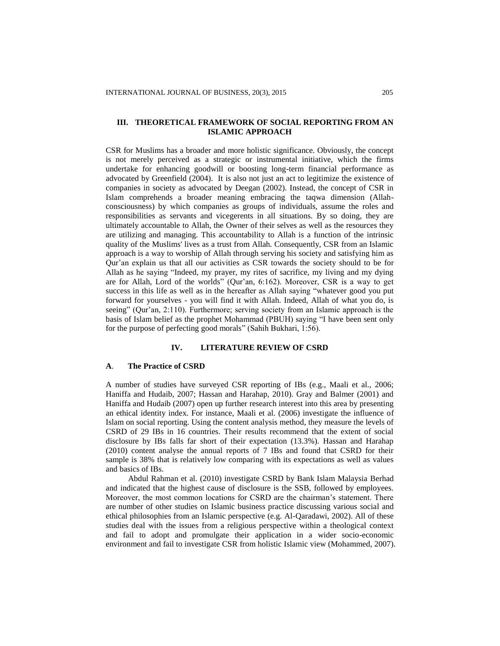# **III. THEORETICAL FRAMEWORK OF SOCIAL REPORTING FROM AN ISLAMIC APPROACH**

CSR for Muslims has a broader and more holistic significance. Obviously, the concept is not merely perceived as a strategic or instrumental initiative, which the firms undertake for enhancing goodwill or boosting long-term financial performance as advocated by Greenfield (2004). It is also not just an act to legitimize the existence of companies in society as advocated by Deegan (2002). Instead, the concept of CSR in Islam comprehends a broader meaning embracing the taqwa dimension (Allahconsciousness) by which companies as groups of individuals, assume the roles and responsibilities as servants and vicegerents in all situations. By so doing, they are ultimately accountable to Allah, the Owner of their selves as well as the resources they are utilizing and managing. This accountability to Allah is a function of the intrinsic quality of the Muslims' lives as a trust from Allah. Consequently, CSR from an Islamic approach is a way to worship of Allah through serving his society and satisfying him as Qur'an explain us that all our activities as CSR towards the society should to be for Allah as he saying "Indeed, my prayer, my rites of sacrifice, my living and my dying are for Allah, Lord of the worlds" (Qur'an, 6:162). Moreover, CSR is a way to get success in this life as well as in the hereafter as Allah saying "whatever good you put forward for yourselves - you will find it with Allah. Indeed, Allah of what you do, is seeing" (Qur'an, 2:110). Furthermore; serving society from an Islamic approach is the basis of Islam belief as the prophet Mohammad (PBUH) saying "I have been sent only for the purpose of perfecting good morals" (Sahih Bukhari, 1:56).

#### **IV. LITERATURE REVIEW OF CSRD**

#### **A**. **The Practice of CSRD**

A number of studies have surveyed CSR reporting of IBs (e.g., Maali et al., 2006; Haniffa and Hudaib, 2007; Hassan and Harahap, 2010). Gray and Balmer (2001) and Haniffa and Hudaib (2007) open up further research interest into this area by presenting an ethical identity index. For instance, Maali et al. (2006) investigate the influence of Islam on social reporting. Using the content analysis method, they measure the levels of CSRD of 29 IBs in 16 countries. Their results recommend that the extent of social disclosure by IBs falls far short of their expectation (13.3%). Hassan and Harahap (2010) content analyse the annual reports of 7 IBs and found that CSRD for their sample is 38% that is relatively low comparing with its expectations as well as values and basics of IBs.

Abdul Rahman et al. (2010) investigate CSRD by Bank Islam Malaysia Berhad and indicated that the highest cause of disclosure is the SSB, followed by employees. Moreover, the most common locations for CSRD are the chairman's statement. There are number of other studies on Islamic business practice discussing various social and ethical philosophies from an Islamic perspective (e.g. Al-Qaradawi, 2002). All of these studies deal with the issues from a religious perspective within a theological context and fail to adopt and promulgate their application in a wider socio-economic environment and fail to investigate CSR from holistic Islamic view (Mohammed, 2007).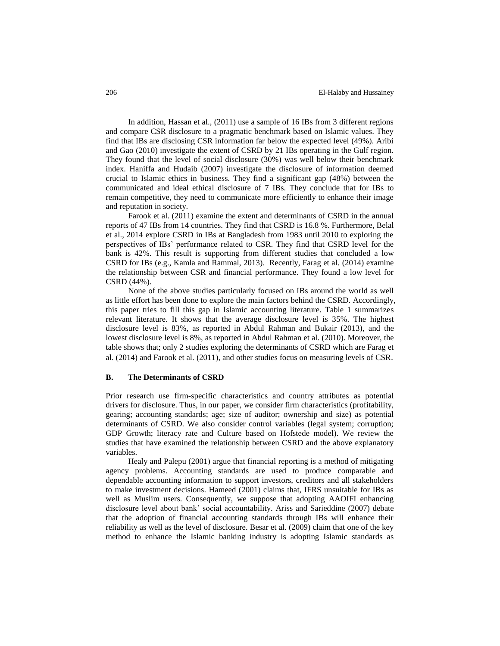In addition, Hassan et al., (2011) use a sample of 16 IBs from 3 different regions and compare CSR disclosure to a pragmatic benchmark based on Islamic values. They find that IBs are disclosing CSR information far below the expected level (49%). Aribi and Gao (2010) investigate the extent of CSRD by 21 IBs operating in the Gulf region. They found that the level of social disclosure (30%) was well below their benchmark index. Haniffa and Hudaib (2007) investigate the disclosure of information deemed crucial to Islamic ethics in business. They find a significant gap (48%) between the communicated and ideal ethical disclosure of 7 IBs. They conclude that for IBs to remain competitive, they need to communicate more efficiently to enhance their image and reputation in society.

Farook et al. (2011) examine the extent and determinants of CSRD in the annual reports of 47 IBs from 14 countries. They find that CSRD is 16.8 %. Furthermore, Belal et al., 2014 explore CSRD in IBs at Bangladesh from 1983 until 2010 to exploring the perspectives of IBs' performance related to CSR. They find that CSRD level for the bank is 42%. This result is supporting from different studies that concluded a low CSRD for IBs (e.g., Kamla and Rammal, 2013). Recently, Farag et al. (2014) examine the relationship between CSR and financial performance. They found a low level for CSRD (44%).

None of the above studies particularly focused on IBs around the world as well as little effort has been done to explore the main factors behind the CSRD. Accordingly, this paper tries to fill this gap in Islamic accounting literature. Table 1 summarizes relevant literature. It shows that the average disclosure level is 35%. The highest disclosure level is 83%, as reported in Abdul Rahman and Bukair (2013), and the lowest disclosure level is 8%, as reported in Abdul Rahman et al. (2010). Moreover, the table shows that; only 2 studies exploring the determinants of CSRD which are Farag et al. (2014) and Farook et al. (2011), and other studies focus on measuring levels of CSR.

#### **B. The Determinants of CSRD**

Prior research use firm-specific characteristics and country attributes as potential drivers for disclosure. Thus, in our paper, we consider firm characteristics (profitability, gearing; accounting standards; age; size of auditor; ownership and size) as potential determinants of CSRD. We also consider control variables (legal system; corruption; GDP Growth; literacy rate and Culture based on Hofstede model). We review the studies that have examined the relationship between CSRD and the above explanatory variables.

Healy and Palepu (2001) argue that financial reporting is a method of mitigating agency problems. Accounting standards are used to produce comparable and dependable accounting information to support investors, creditors and all stakeholders to make investment decisions. Hameed (2001) claims that, IFRS unsuitable for IBs as well as Muslim users. Consequently, we suppose that adopting AAOIFI enhancing disclosure level about bank' social accountability. Ariss and Sarieddine (2007) debate that the adoption of financial accounting standards through IBs will enhance their reliability as well as the level of disclosure. Besar et al. (2009) claim that one of the key method to enhance the Islamic banking industry is adopting Islamic standards as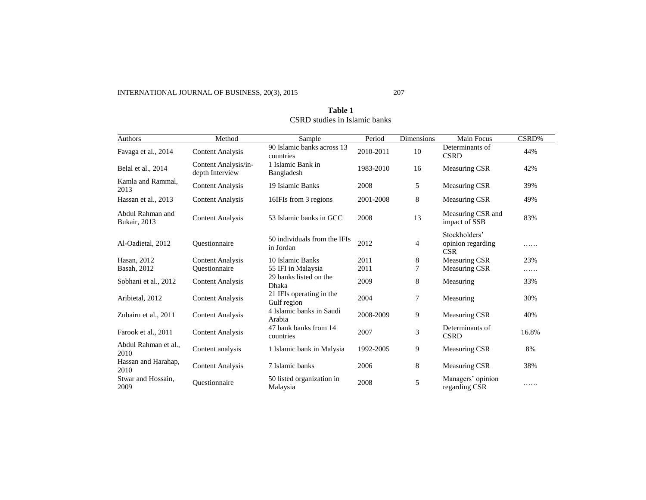| Authors                          | Method                                  | Sample                                    | Period    | Dimensions     | Main Focus                                       | CSRD% |
|----------------------------------|-----------------------------------------|-------------------------------------------|-----------|----------------|--------------------------------------------------|-------|
| Favaga et al., 2014              | <b>Content Analysis</b>                 | 90 Islamic banks across 13<br>countries   | 2010-2011 | 10             | Determinants of<br><b>CSRD</b>                   | 44%   |
| Belal et al., 2014               | Content Analysis/in-<br>depth Interview | 1 Islamic Bank in<br>Bangladesh           | 1983-2010 | 16             | Measuring CSR                                    | 42%   |
| Kamla and Rammal.<br>2013        | <b>Content Analysis</b>                 | 19 Islamic Banks                          | 2008      | 5              | <b>Measuring CSR</b>                             | 39%   |
| Hassan et al., 2013              | <b>Content Analysis</b>                 | 16IFIs from 3 regions                     | 2001-2008 | 8              | <b>Measuring CSR</b>                             | 49%   |
| Abdul Rahman and<br>Bukair, 2013 | <b>Content Analysis</b>                 | 53 Islamic banks in GCC                   | 2008      | 13             | Measuring CSR and<br>impact of SSB               | 83%   |
| Al-Oadietal, 2012                | <b>Ouestionnaire</b>                    | 50 individuals from the IFIs<br>in Jordan | 2012      | 4              | Stockholders'<br>opinion regarding<br><b>CSR</b> | .     |
| Hasan, 2012                      | <b>Content Analysis</b>                 | 10 Islamic Banks                          | 2011      | 8              | Measuring CSR                                    | 23%   |
| Basah, 2012                      | Questionnaire                           | 55 IFI in Malaysia                        | 2011      | $\overline{7}$ | Measuring CSR                                    | .     |
| Sobhani et al., 2012             | <b>Content Analysis</b>                 | 29 banks listed on the<br>Dhaka           | 2009      | 8              | Measuring                                        | 33%   |
| Aribietal, 2012                  | <b>Content Analysis</b>                 | 21 IFIs operating in the<br>Gulf region   | 2004      | 7              | Measuring                                        | 30%   |
| Zubairu et al., 2011             | <b>Content Analysis</b>                 | 4 Islamic banks in Saudi<br>Arabia        | 2008-2009 | 9              | Measuring CSR                                    | 40%   |
| Farook et al., 2011              | <b>Content Analysis</b>                 | 47 bank banks from 14<br>countries        | 2007      | 3              | Determinants of<br><b>CSRD</b>                   | 16.8% |
| Abdul Rahman et al.,<br>2010     | Content analysis                        | 1 Islamic bank in Malysia                 | 1992-2005 | 9              | Measuring CSR                                    | 8%    |
| Hassan and Harahap,<br>2010      | <b>Content Analysis</b>                 | 7 Islamic banks                           | 2006      | 8              | Measuring CSR                                    | 38%   |
| Stwar and Hossain.<br>2009       | Ouestionnaire                           | 50 listed organization in<br>Malaysia     | 2008      | 5              | Managers' opinion<br>regarding CSR               | .     |

# **Table 1** CSRD studies in Islamic banks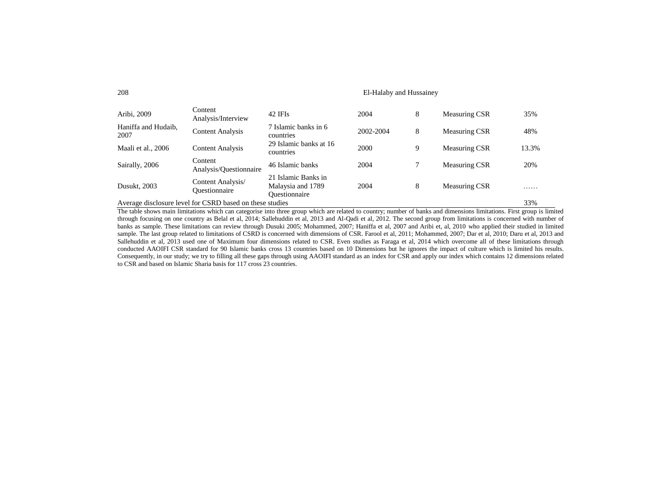#### 208 El-Halaby and Hussainey

| Aribi, 2009                 | Content<br>Analysis/Interview                            | 42 IFIs                                                   | 2004      | 8 | Measuring CSR | 35%   |
|-----------------------------|----------------------------------------------------------|-----------------------------------------------------------|-----------|---|---------------|-------|
| Haniffa and Hudaib,<br>2007 | <b>Content Analysis</b>                                  | 7 Islamic banks in 6<br>countries                         | 2002-2004 | 8 | Measuring CSR | 48%   |
| Maali et al., 2006          | <b>Content Analysis</b>                                  | 29 Islamic banks at 16<br>countries                       | 2000      | 9 | Measuring CSR | 13.3% |
| Sairally, 2006              | Content<br>Analysis/Questionnaire                        | 46 Islamic banks                                          | 2004      |   | Measuring CSR | 20%   |
| Dusukt, 2003                | Content Analysis/<br>Ouestionnaire                       | 21 Islamic Banks in<br>Malaysia and 1789<br>Ouestionnaire | 2004      | 8 | Measuring CSR | .     |
|                             | Average disclosure level for CSRD based on these studies |                                                           |           |   |               | 33%   |

The table shows main limitations which can categorise into three group which are related to country; number of banks and dimensions limitations. First group is limited through focusing on one country as Belal et al, 2014; Sallehuddin et al, 2013 and Al-Qadi et al, 2012. The second group from limitations is concerned with number of banks as sample. These limitations can review through Dusuki 2005; Mohammed, 2007; Haniffa et al, 2007 and Aribi et, al, 2010 who applied their studied in limited sample. The last group related to limitations of CSRD is concerned with dimensions of CSR. Farool et al, 2011; Mohammed, 2007; Dar et al, 2010; Daru et al, 2013 and Sallehuddin et al, 2013 used one of Maximum four dimensions related to CSR. Even studies as Faraga et al, 2014 which overcome all of these limitations through conducted AAOIFI CSR standard for 90 Islamic banks cross 13 countries based on 10 Dimensions but he ignores the impact of culture which is limited his results. Consequently, in our study; we try to filling all these gaps through using AAOIFI standard as an index for CSR and apply our index which contains 12 dimensions related to CSR and based on Islamic Sharia basis for 117 cross 23 countries.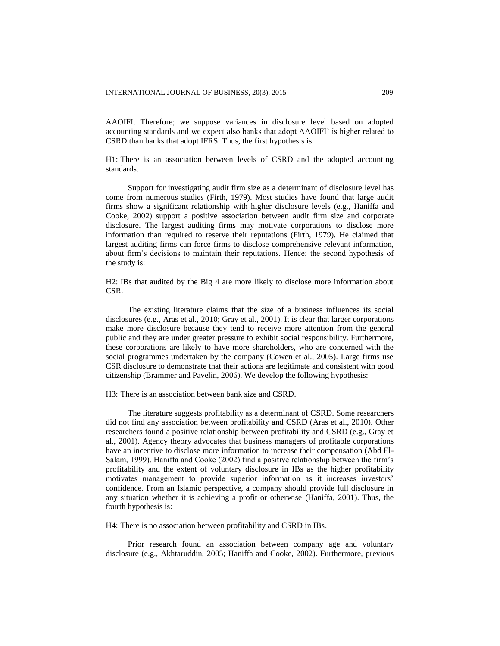AAOIFI. Therefore; we suppose variances in disclosure level based on adopted accounting standards and we expect also banks that adopt AAOIFI' is higher related to CSRD than banks that adopt IFRS. Thus, the first hypothesis is:

H1: There is an association between levels of CSRD and the adopted accounting standards.

Support for investigating audit firm size as a determinant of disclosure level has come from numerous studies (Firth, 1979). Most studies have found that large audit firms show a significant relationship with higher disclosure levels (e.g., Haniffa and Cooke, 2002) support a positive association between audit firm size and corporate disclosure. The largest auditing firms may motivate corporations to disclose more information than required to reserve their reputations (Firth, 1979). He claimed that largest auditing firms can force firms to disclose comprehensive relevant information, about firm's decisions to maintain their reputations. Hence; the second hypothesis of the study is:

H2: IBs that audited by the Big 4 are more likely to disclose more information about CSR.

The existing literature claims that the size of a business influences its social disclosures (e.g., Aras et al., 2010; Gray et al., 2001). It is clear that larger corporations make more disclosure because they tend to receive more attention from the general public and they are under greater pressure to exhibit social responsibility. Furthermore, these corporations are likely to have more shareholders, who are concerned with the social programmes undertaken by the company (Cowen et al., 2005). Large firms use CSR disclosure to demonstrate that their actions are legitimate and consistent with good citizenship (Brammer and Pavelin, 2006). We develop the following hypothesis:

H3: There is an association between bank size and CSRD.

The literature suggests profitability as a determinant of CSRD. Some researchers did not find any association between profitability and CSRD (Aras et al., 2010). Other researchers found a positive relationship between profitability and CSRD (e.g., Gray et al., 2001). Agency theory advocates that business managers of profitable corporations have an incentive to disclose more information to increase their compensation (Abd El-Salam, 1999). Haniffa and Cooke (2002) find a positive relationship between the firm's profitability and the extent of voluntary disclosure in IBs as the higher profitability motivates management to provide superior information as it increases investors' confidence. From an Islamic perspective, a company should provide full disclosure in any situation whether it is achieving a profit or otherwise (Haniffa, 2001). Thus, the fourth hypothesis is:

H4: There is no association between profitability and CSRD in IBs.

Prior research found an association between company age and voluntary disclosure (e.g., Akhtaruddin, 2005; Haniffa and Cooke, 2002). Furthermore, previous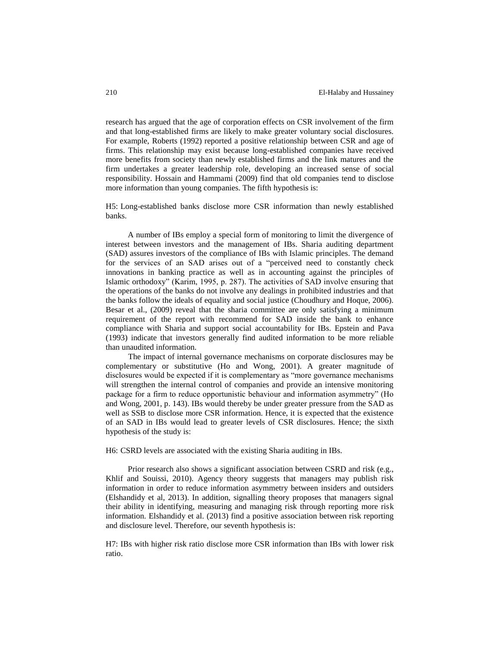research has argued that the age of corporation effects on CSR involvement of the firm and that long-established firms are likely to make greater voluntary social disclosures. For example, Roberts (1992) reported a positive relationship between CSR and age of firms. This relationship may exist because long-established companies have received more benefits from society than newly established firms and the link matures and the firm undertakes a greater leadership role, developing an increased sense of social responsibility. Hossain and Hammami (2009) find that old companies tend to disclose more information than young companies. The fifth hypothesis is:

H5: Long-established banks disclose more CSR information than newly established banks.

A number of IBs employ a special form of monitoring to limit the divergence of interest between investors and the management of IBs. Sharia auditing department (SAD) assures investors of the compliance of IBs with Islamic principles. The demand for the services of an SAD arises out of a "perceived need to constantly check innovations in banking practice as well as in accounting against the principles of Islamic orthodoxy" (Karim, 1995, p. 287). The activities of SAD involve ensuring that the operations of the banks do not involve any dealings in prohibited industries and that the banks follow the ideals of equality and social justice (Choudhury and Hoque, 2006). Besar et al., (2009) reveal that the sharia committee are only satisfying a minimum requirement of the report with recommend for SAD inside the bank to enhance compliance with Sharia and support social accountability for IBs. Epstein and Pava (1993) indicate that investors generally find audited information to be more reliable than unaudited information.

The impact of internal governance mechanisms on corporate disclosures may be complementary or substitutive (Ho and Wong, 2001). A greater magnitude of disclosures would be expected if it is complementary as "more governance mechanisms will strengthen the internal control of companies and provide an intensive monitoring package for a firm to reduce opportunistic behaviour and information asymmetry" (Ho and Wong, 2001, p. 143). IBs would thereby be under greater pressure from the SAD as well as SSB to disclose more CSR information. Hence, it is expected that the existence of an SAD in IBs would lead to greater levels of CSR disclosures. Hence; the sixth hypothesis of the study is:

H6: CSRD levels are associated with the existing Sharia auditing in IBs.

Prior research also shows a significant association between CSRD and risk (e.g., Khlif and Souissi, 2010). Agency theory suggests that managers may publish risk information in order to reduce information asymmetry between insiders and outsiders (Elshandidy et al, 2013). In addition, signalling theory proposes that managers signal their ability in identifying, measuring and managing risk through reporting more risk information. Elshandidy et al. (2013) find a positive association between risk reporting and disclosure level. Therefore, our seventh hypothesis is:

H7: IBs with higher risk ratio disclose more CSR information than IBs with lower risk ratio.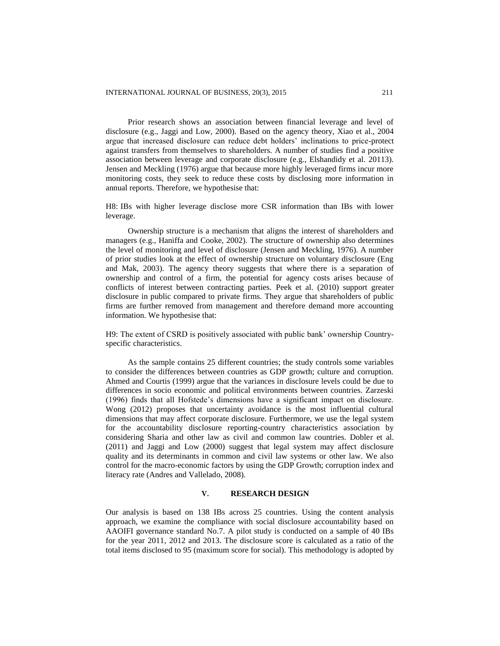Prior research shows an association between financial leverage and level of disclosure (e.g., Jaggi and Low, 2000). Based on the agency theory, Xiao et al., 2004 argue that increased disclosure can reduce debt holders' inclinations to price-protect against transfers from themselves to shareholders. A number of studies find a positive association between leverage and corporate disclosure (e.g., Elshandidy et al. 20113). Jensen and Meckling (1976) argue that because more highly leveraged firms incur more monitoring costs, they seek to reduce these costs by disclosing more information in annual reports. Therefore, we hypothesise that:

H8: IBs with higher leverage disclose more CSR information than IBs with lower leverage.

Ownership structure is a mechanism that aligns the interest of shareholders and managers (e.g., Haniffa and Cooke, 2002). The structure of ownership also determines the level of monitoring and level of disclosure (Jensen and Meckling, 1976). A number of prior studies look at the effect of ownership structure on voluntary disclosure (Eng and Mak, 2003). The agency theory suggests that where there is a separation of ownership and control of a firm, the potential for agency costs arises because of conflicts of interest between contracting parties. Peek et al. (2010) support greater disclosure in public compared to private firms. They argue that shareholders of public firms are further removed from management and therefore demand more accounting information. We hypothesise that:

H9: The extent of CSRD is positively associated with public bank' ownership Countryspecific characteristics.

As the sample contains 25 different countries; the study controls some variables to consider the differences between countries as GDP growth; culture and corruption. Ahmed and Courtis (1999) argue that the variances in disclosure levels could be due to differences in socio economic and political environments between countries. Zarzeski (1996) finds that all Hofstede's dimensions have a significant impact on disclosure. Wong (2012) proposes that uncertainty avoidance is the most influential cultural dimensions that may affect corporate disclosure. Furthermore, we use the legal system for the accountability disclosure reporting-country characteristics association by considering Sharia and other law as civil and common law countries. Dobler et al. (2011) and Jaggi and Low (2000) suggest that legal system may affect disclosure quality and its determinants in common and civil law systems or other law. We also control for the macro-economic factors by using the GDP Growth; corruption index and literacy rate (Andres and Vallelado, 2008).

# **V. RESEARCH DESIGN**

Our analysis is based on 138 IBs across 25 countries. Using the content analysis approach, we examine the compliance with social disclosure accountability based on AAOIFI governance standard No.7. A pilot study is conducted on a sample of 40 IBs for the year 2011, 2012 and 2013. The disclosure score is calculated as a ratio of the total items disclosed to 95 (maximum score for social). This methodology is adopted by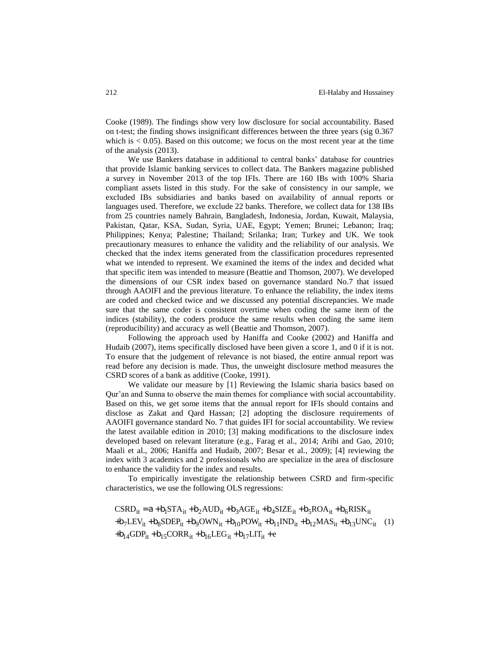Cooke (1989). The findings show very low disclosure for social accountability. Based on t-test; the finding shows insignificant differences between the three years (sig 0.367 which is  $< 0.05$ ). Based on this outcome; we focus on the most recent year at the time of the analysis (2013).

We use Bankers database in additional to central banks' database for countries that provide Islamic banking services to collect data. The Bankers magazine published a survey in November 2013 of the top IFIs. There are 160 IBs with 100% Sharia compliant assets listed in this study. For the sake of consistency in our sample, we excluded IBs subsidiaries and banks based on availability of annual reports or languages used. Therefore, we exclude 22 banks. Therefore, we collect data for 138 IBs from 25 countries namely Bahrain, Bangladesh, Indonesia, Jordan, Kuwait, Malaysia, Pakistan, Qatar, KSA, Sudan, Syria, UAE, Egypt; Yemen; Brunei; Lebanon; Iraq; Philippines; Kenya; Palestine; Thailand; Srilanka; Iran; Turkey and UK. We took precautionary measures to enhance the validity and the reliability of our analysis. We checked that the index items generated from the classification procedures represented what we intended to represent. We examined the items of the index and decided what that specific item was intended to measure (Beattie and Thomson, 2007). We developed the dimensions of our CSR index based on governance standard No.7 that issued through AAOIFI and the previous literature. To enhance the reliability, the index items are coded and checked twice and we discussed any potential discrepancies. We made sure that the same coder is consistent overtime when coding the same item of the indices (stability), the coders produce the same results when coding the same item (reproducibility) and accuracy as well (Beattie and Thomson, 2007).

Following the approach used by Haniffa and Cooke (2002) and Haniffa and Hudaib (2007), items specifically disclosed have been given a score 1, and 0 if it is not. To ensure that the judgement of relevance is not biased, the entire annual report was read before any decision is made. Thus, the unweight disclosure method measures the CSRD scores of a bank as additive (Cooke, 1991).

We validate our measure by [1] Reviewing the Islamic sharia basics based on Qur'an and Sunna to observe the main themes for compliance with social accountability. Based on this, we get some items that the annual report for IFIs should contains and disclose as Zakat and Qard Hassan; [2] adopting the disclosure requirements of AAOIFI governance standard No. 7 that guides IFI for social accountability. We review the latest available edition in 2010; [3] making modifications to the disclosure index developed based on relevant literature (e.g., Farag et al., 2014; Aribi and Gao, 2010; Maali et al., 2006; Haniffa and Hudaib, 2007; Besar et al., 2009); [4] reviewing the index with 3 academics and 2 professionals who are specialize in the area of disclosure to enhance the validity for the index and results.

To empirically investigate the relationship between CSRD and firm-specific characteristics, we use the following OLS regressions:

$$
CSRD_{it} = a + b_1STA_{it} + b_2AUD_{it} + b_3AGE_{it} + b_4SIZE_{it} + b_5ROA_{it} + b_6RISK_{it}
$$
  
+
$$
b_7LEV_{it} + b_8SDEP_{it} + b_9OWN_{it} + b_{10}POW_{it} + b_{11}IND_{it} + b_{12}MAS_{it} + b_{13}UNC_{it}
$$
 (1)  
+
$$
b_{14}GDP_{it} + b_{15}CORR_{it} + b_{16}LEG_{it} + b_{17}LIT_{it} + e
$$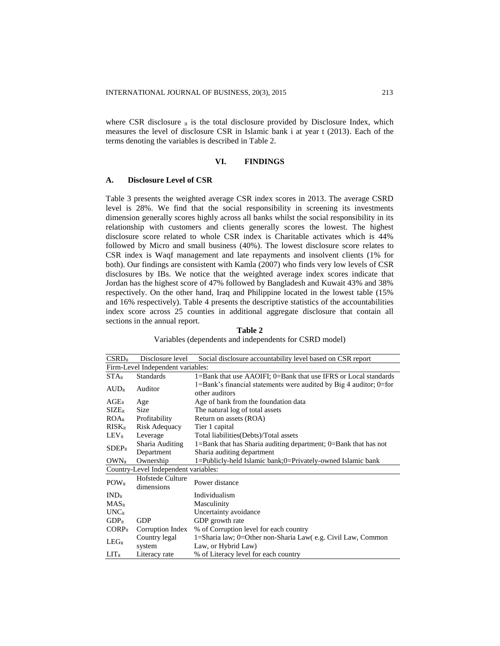where CSR disclosure  $_{it}$  is the total disclosure provided by Disclosure Index, which measures the level of disclosure CSR in Islamic bank i at year t (2013). Each of the terms denoting the variables is described in Table 2.

# **VI. FINDINGS**

### **A. Disclosure Level of CSR**

Table 3 presents the weighted average CSR index scores in 2013. The average CSRD level is 28%. We find that the social responsibility in screening its investments dimension generally scores highly across all banks whilst the social responsibility in its relationship with customers and clients generally scores the lowest. The highest disclosure score related to whole CSR index is Charitable activates which is 44% followed by Micro and small business (40%). The lowest disclosure score relates to CSR index is Waqf management and late repayments and insolvent clients (1% for both). Our findings are consistent with Kamla (2007) who finds very low levels of CSR disclosures by IBs. We notice that the weighted average index scores indicate that Jordan has the highest score of 47% followed by Bangladesh and Kuwait 43% and 38% respectively. On the other hand, Iraq and Philippine located in the lowest table (15% and 16% respectively). Table 4 presents the descriptive statistics of the accountabilities index score across 25 counties in additional aggregate disclosure that contain all sections in the annual report.

**Table 2** Variables (dependents and independents for CSRD model)

| $CSRD_{it}$                       | Disclosure level                     | Social disclosure accountability level based on CSR report                           |  |  |
|-----------------------------------|--------------------------------------|--------------------------------------------------------------------------------------|--|--|
| Firm-Level Independent variables: |                                      |                                                                                      |  |  |
| $STA_{it}$                        | <b>Standards</b>                     | 1=Bank that use AAOIFI; 0=Bank that use IFRS or Local standards                      |  |  |
| $AUD_{it}$                        | Auditor                              | 1=Bank's financial statements were audited by Big 4 auditor; 0=for<br>other auditors |  |  |
| $AGE_{it}$                        | Age                                  | Age of bank from the foundation data                                                 |  |  |
| $\rm{SIZE}_{it}$                  | <b>Size</b>                          | The natural log of total assets                                                      |  |  |
| ROA <sub>it</sub>                 | Profitability                        | Return on assets (ROA)                                                               |  |  |
| $RISK_{it}$                       | Risk Adequacy                        | Tier 1 capital                                                                       |  |  |
| $LEV_{it}$                        | Leverage                             | Total liabilities(Debts)/Total assets                                                |  |  |
| Sharia Auditing                   |                                      | $1 =$ Bank that has Sharia auditing department; $0 =$ Bank that has not              |  |  |
| $SDEP_{it}$<br>Department         |                                      | Sharia auditing department                                                           |  |  |
| $OWN_{it}$                        | Ownership                            | 1=Publicly-held Islamic bank;0=Privately-owned Islamic bank                          |  |  |
|                                   | Country-Level Independent variables: |                                                                                      |  |  |
| $POW_{it}$                        | Hofstede Culture<br>dimensions       | Power distance                                                                       |  |  |
| $IND_{it}$                        |                                      | Individualism                                                                        |  |  |
| $MAS_{it}$                        |                                      | Masculinity                                                                          |  |  |
| $UNC_{it}$                        |                                      | Uncertainty avoidance                                                                |  |  |
| $GDP_{it}$                        | <b>GDP</b>                           | GDP growth rate                                                                      |  |  |
| $CORP_{it}$                       | Corruption Index                     | % of Corruption level for each country                                               |  |  |
|                                   | Country legal                        | 1=Sharia law; 0=Other non-Sharia Law(e.g. Civil Law, Common                          |  |  |
| LEG <sub>it</sub>                 | system                               | Law, or Hybrid Law)                                                                  |  |  |
| $LIT_{it}$                        | Literacy rate                        | % of Literacy level for each country                                                 |  |  |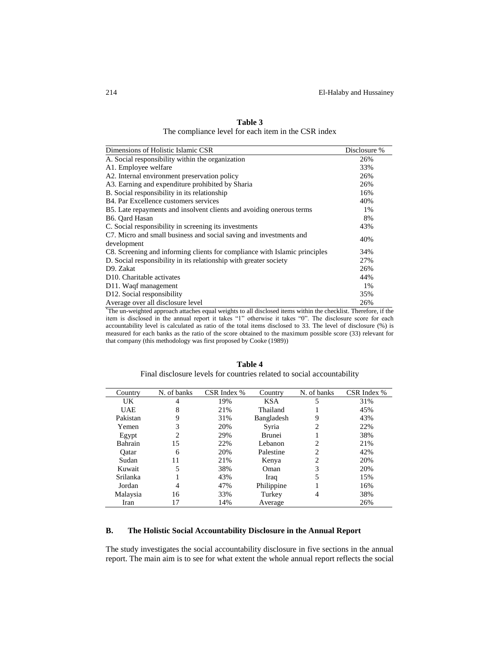| Dimensions of Holistic Islamic CSR                                         | Disclosure % |
|----------------------------------------------------------------------------|--------------|
| A. Social responsibility within the organization                           | 26%          |
| A1. Employee welfare                                                       | 33%          |
| A2. Internal environment preservation policy                               | 26%          |
| A3. Earning and expenditure prohibited by Sharia                           | 26%          |
| B. Social responsibility in its relationship                               | 16%          |
| B4. Par Excellence customers services                                      | 40%          |
| B5. Late repayments and insolvent clients and avoiding onerous terms       | $1\%$        |
| B6. Oard Hasan                                                             | 8%           |
| C. Social responsibility in screening its investments                      | 43%          |
| C7. Micro and small business and social saving and investments and         | 40%          |
| development                                                                |              |
| C8. Screening and informing clients for compliance with Islamic principles | 34%          |
| D. Social responsibility in its relationship with greater society          | 27%          |
| D9. Zakat                                                                  | 26%          |
| D <sub>10</sub> . Charitable activates                                     | 44%          |
| D11. Waqf management                                                       | $1\%$        |
| D12. Social responsibility                                                 | 35%          |
| Average over all disclosure level                                          | 26%          |

**Table 3** The compliance level for each item in the CSR index

\*The un-weighted approach attaches equal weights to all disclosed items within the checklist. Therefore, if the item is disclosed in the annual report it takes "1" otherwise it takes "0". The disclosure score for each accountability level is calculated as ratio of the total items disclosed to 33. The level of disclosure (%) is measured for each banks as the ratio of the score obtained to the maximum possible score (33) relevant for that company (this methodology was first proposed by Cooke (1989))

| Table 4                                                                |
|------------------------------------------------------------------------|
| Final disclosure levels for countries related to social accountability |

| Country    | N. of banks    | CSR Index % | Country       | N. of banks    | CSR Index % |
|------------|----------------|-------------|---------------|----------------|-------------|
| UK         | 4              | 19%         | <b>KSA</b>    | 5              | 31%         |
| <b>UAE</b> | 8              | 21%         | Thailand      |                | 45%         |
| Pakistan   | 9              | 31%         | Bangladesh    | 9              | 43%         |
| Yemen      | 3              | 20%         | Syria         | 2              | 22%         |
| Egypt      | $\overline{c}$ | 29%         | <b>Brunei</b> |                | 38%         |
| Bahrain    | 15             | 22%         | Lebanon       | $\overline{c}$ | 21%         |
| Oatar      | 6              | 20%         | Palestine     | $\mathfrak{D}$ | 42%         |
| Sudan      | 11             | 21%         | Kenya         | 2              | 20%         |
| Kuwait     | 5              | 38%         | Oman          | 3              | 20%         |
| Srilanka   |                | 43%         | Iraq          | 5              | 15%         |
| Jordan     | 4              | 47%         | Philippine    |                | 16%         |
| Malaysia   | 16             | 33%         | Turkey        | 4              | 38%         |
| Iran       | 17             | 14%         | Average       |                | 26%         |

# **B. The Holistic Social Accountability Disclosure in the Annual Report**

The study investigates the social accountability disclosure in five sections in the annual report. The main aim is to see for what extent the whole annual report reflects the social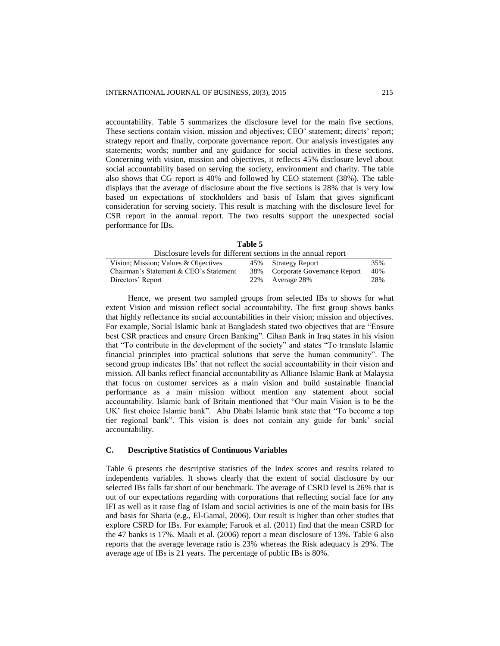accountability. Table 5 summarizes the disclosure level for the main five sections. These sections contain vision, mission and objectives; CEO' statement; directs' report; strategy report and finally, corporate governance report. Our analysis investigates any statements; words; number and any guidance for social activities in these sections. Concerning with vision, mission and objectives, it reflects 45% disclosure level about social accountability based on serving the society, environment and charity. The table also shows that CG report is 40% and followed by CEO statement (38%). The table displays that the average of disclosure about the five sections is 28% that is very low based on expectations of stockholders and basis of Islam that gives significant consideration for serving society. This result is matching with the disclosure level for CSR report in the annual report. The two results support the unexpected social performance for IBs.

**Table 5**

| Disclosure levels for different sections in the annual report |  |                                 |     |  |
|---------------------------------------------------------------|--|---------------------------------|-----|--|
| Vision; Mission; Values & Objectives                          |  | 45% Strategy Report             | 35% |  |
| Chairman's Statement & CEO's Statement                        |  | 38% Corporate Governance Report | 40% |  |
| Directors' Report                                             |  | 22% Average 28%                 | 28% |  |

Hence, we present two sampled groups from selected IBs to shows for what extent Vision and mission reflect social accountability. The first group shows banks that highly reflectance its social accountabilities in their vision; mission and objectives. For example, Social Islamic bank at Bangladesh stated two objectives that are "Ensure best CSR practices and ensure Green Banking". Cihan Bank in Iraq states in his vision that "To contribute in the development of the society" and states "To translate Islamic financial principles into practical solutions that serve the human community". The second group indicates IBs' that not reflect the social accountability in their vision and mission. All banks reflect financial accountability as Alliance Islamic Bank at Malaysia that focus on customer services as a main vision and build sustainable financial performance as a main mission without mention any statement about social accountability. Islamic bank of Britain mentioned that "Our main Vision is to be the UK' first choice Islamic bank". Abu Dhabi Islamic bank state that "To become a top tier regional bank". This vision is does not contain any guide for bank' social accountability.

#### **C. Descriptive Statistics of Continuous Variables**

Table 6 presents the descriptive statistics of the Index scores and results related to independents variables. It shows clearly that the extent of social disclosure by our selected IBs falls far short of our benchmark. The average of CSRD level is 26% that is out of our expectations regarding with corporations that reflecting social face for any IFI as well as it raise flag of Islam and social activities is one of the main basis for IBs and basis for Sharia (e.g., El-Gamal, 2006). Our result is higher than other studies that explore CSRD for IBs. For example; Farook et al. (2011) find that the mean CSRD for the 47 banks is 17%. Maali et al. (2006) report a mean disclosure of 13%. Table 6 also reports that the average leverage ratio is 23% whereas the Risk adequacy is 29%. The average age of IBs is 21 years. The percentage of public IBs is 80%.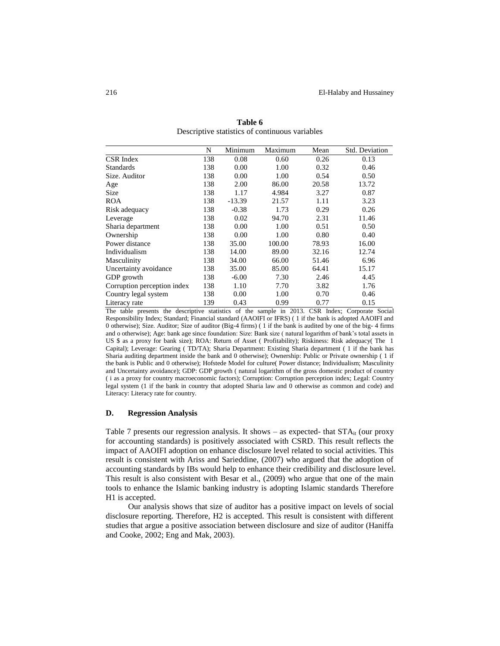|                              | N   | Minimum  | Maximum | Mean  | Std. Deviation |
|------------------------------|-----|----------|---------|-------|----------------|
| <b>CSR</b> Index             | 138 | 0.08     | 0.60    | 0.26  | 0.13           |
| <b>Standards</b>             | 138 | 0.00     | 1.00    | 0.32  | 0.46           |
| Size. Auditor                | 138 | 0.00     | 1.00    | 0.54  | 0.50           |
| Age                          | 138 | 2.00     | 86.00   | 20.58 | 13.72          |
| Size                         | 138 | 1.17     | 4.984   | 3.27  | 0.87           |
| <b>ROA</b>                   | 138 | $-13.39$ | 21.57   | 1.11  | 3.23           |
| Risk adequacy                | 138 | $-0.38$  | 1.73    | 0.29  | 0.26           |
| Leverage                     | 138 | 0.02     | 94.70   | 2.31  | 11.46          |
| Sharia department            | 138 | 0.00     | 1.00    | 0.51  | 0.50           |
| Ownership                    | 138 | 0.00     | 1.00    | 0.80  | 0.40           |
| Power distance               | 138 | 35.00    | 100.00  | 78.93 | 16.00          |
| Individualism                | 138 | 14.00    | 89.00   | 32.16 | 12.74          |
| Masculinity                  | 138 | 34.00    | 66.00   | 51.46 | 6.96           |
| Uncertainty avoidance        | 138 | 35.00    | 85.00   | 64.41 | 15.17          |
| GDP growth                   | 138 | $-6.00$  | 7.30    | 2.46  | 4.45           |
| Corruption perception index  | 138 | 1.10     | 7.70    | 3.82  | 1.76           |
| Country legal system         | 138 | 0.00     | 1.00    | 0.70  | 0.46           |
| 139<br>0.43<br>Literacy rate |     | 0.99     | 0.77    | 0.15  |                |

**Table 6** Descriptive statistics of continuous variables

The table presents the descriptive statistics of the sample in 2013. CSR Index; Corporate Social Responsibility Index; Standard; Financial standard (AAOIFI or IFRS) ( 1 if the bank is adopted AAOIFI and 0 otherwise); Size. Auditor; Size of auditor (Big-4 firms) ( 1 if the bank is audited by one of the big- 4 firms and o otherwise); Age: bank age since foundation: Size: Bank size ( natural logarithm of bank's total assets in US \$ as a proxy for bank size); ROA: Return of Asset ( Profitability); Riskiness: Risk adequacy( The 1 Capital); Leverage: Gearing ( TD/TA); Sharia Department: Existing Sharia department ( 1 if the bank has Sharia auditing department inside the bank and 0 otherwise); Ownership: Public or Private ownership ( 1 if the bank is Public and 0 otherwise); Hofstede Model for culture( Power distance; Individualism; Masculinity and Uncertainty avoidance); GDP: GDP growth ( natural logarithm of the gross domestic product of country ( i as a proxy for country macroeconomic factors); Corruption: Corruption perception index; Legal: Country legal system (1 if the bank in country that adopted Sharia law and 0 otherwise as common and code) and Literacy: Literacy rate for country.

#### **D. Regression Analysis**

Table 7 presents our regression analysis. It shows – as expected- that  $STA_{it}$  (our proxy for accounting standards) is positively associated with CSRD. This result reflects the impact of AAOIFI adoption on enhance disclosure level related to social activities. This result is consistent with Ariss and Sarieddine, (2007) who argued that the adoption of accounting standards by IBs would help to enhance their credibility and disclosure level. This result is also consistent with Besar et al., (2009) who argue that one of the main tools to enhance the Islamic banking industry is adopting Islamic standards Therefore H1 is accepted.

Our analysis shows that size of auditor has a positive impact on levels of social disclosure reporting. Therefore, H2 is accepted. This result is consistent with different studies that argue a positive association between disclosure and size of auditor (Haniffa and Cooke, 2002; Eng and Mak, 2003).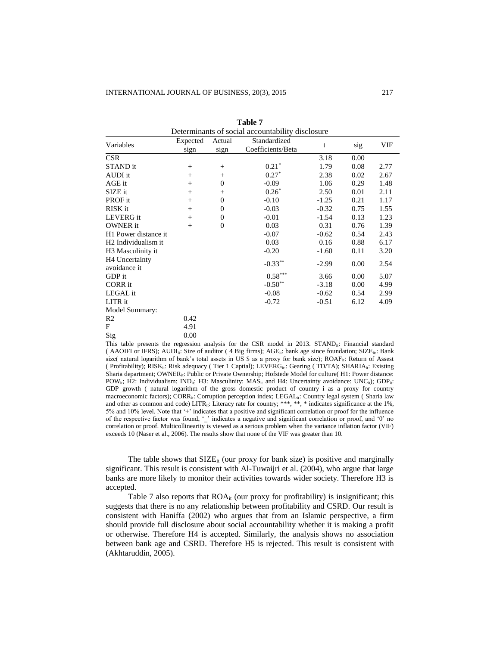| Determinants of social accountability disclosure |                  |                |                                   |         |      |      |
|--------------------------------------------------|------------------|----------------|-----------------------------------|---------|------|------|
| Variables                                        | Expected<br>sign | Actual<br>sign | Standardized<br>Coefficients/Beta | t       | sig  | VIF  |
| <b>CSR</b>                                       |                  |                |                                   | 3.18    | 0.00 |      |
| STAND it                                         | $^{+}$           | $+$            | $0.21*$                           | 1.79    | 0.08 | 2.77 |
| AUDI it                                          | $^{+}$           | $+$            | $0.27*$                           | 2.38    | 0.02 | 2.67 |
| AGE it                                           | $^{+}$           | $\theta$       | $-0.09$                           | 1.06    | 0.29 | 1.48 |
| SIZE it                                          | $^{+}$           | $+$            | $0.26*$                           | 2.50    | 0.01 | 2.11 |
| PROF it                                          | $^{+}$           | $\overline{0}$ | $-0.10$                           | $-1.25$ | 0.21 | 1.17 |
| RISK it                                          | $^{+}$           | $\Omega$       | $-0.03$                           | $-0.32$ | 0.75 | 1.55 |
| LEVERG it                                        | $^{+}$           | $\overline{0}$ | $-0.01$                           | $-1.54$ | 0.13 | 1.23 |
| <b>OWNER</b> it                                  | $^{+}$           | $\Omega$       | 0.03                              | 0.31    | 0.76 | 1.39 |
| H1 Power distance it                             |                  |                | $-0.07$                           | $-0.62$ | 0.54 | 2.43 |
| H <sub>2</sub> Individualism it                  |                  |                | 0.03                              | 0.16    | 0.88 | 6.17 |
| H <sub>3</sub> Masculinity it                    |                  |                | $-0.20$                           | $-1.60$ | 0.11 | 3.20 |
| H <sub>4</sub> Uncertainty<br>avoidance it       |                  |                | $-0.33***$                        | $-2.99$ | 0.00 | 2.54 |
| GDP it                                           |                  |                | $0.58^{\ast\ast\ast}$             | 3.66    | 0.00 | 5.07 |
| CORR it                                          |                  |                | $-0.50**$                         | $-3.18$ | 0.00 | 4.99 |
| LEGAL it                                         |                  |                | $-0.08$                           | $-0.62$ | 0.54 | 2.99 |
| LITR it                                          |                  |                | $-0.72$                           | $-0.51$ | 6.12 | 4.09 |
| Model Summary:                                   |                  |                |                                   |         |      |      |
| R <sub>2</sub>                                   | 0.42             |                |                                   |         |      |      |
| F                                                | 4.91             |                |                                   |         |      |      |
| Sig                                              | 0.00             |                |                                   |         |      |      |

| Table 7                                          |
|--------------------------------------------------|
| Determinants of social accountability disclosure |

This table presents the regression analysis for the CSR model in 2013. STAND<sub>ii</sub>: Financial standard ( AAOIFI or IFRS); AUDI<sub>it</sub>: Size of auditor ( 4 Big firms); AGE<sub>it</sub>: bank age since foundation; SIZE<sub>it</sub>: Bank size( natural logarithm of bank's total assets in US \$ as a proxy for bank size); ROAF<sub>it</sub>: Return of Assest ( Profitability); RISK<sub>it</sub>: Risk adequacy ( Tier 1 Captial); LEVERG<sub>it</sub>: Gearing ( TD/TA); SHARIA<sub>it</sub>: Existing Sharia department; OWNER<sub>it</sub>: Public or Private Ownership; Hofstede Model for culture( H1: Power distance: POW<sub>it</sub>; H2: Individualism: IND<sub>it</sub>; H3: Masculinity:  $MAS_{it}$  and H4: Uncertainty avoidance: UNC<sub>it</sub>); GDP<sub>it</sub>: GDP growth ( natural logarithm of the gross domestic product of country i as a proxy for country macroeconomic factors); CORR<sub>it</sub>: Corruption perception index; LEGAL<sub>it</sub>: Country legal system ( Sharia law and other as common and code) LITR<sub>it</sub>: Literacy rate for country; \*\*\*, \*\*, \* indicates significance at the 1%, 5% and 10% level. Note that '+' indicates that a positive and significant correlation or proof for the influence of the respective factor was found, '\_' indicates a negative and significant correlation or proof, and '0' no correlation or proof. Multicollinearity is viewed as a serious problem when the variance inflation factor (VIF) exceeds 10 (Naser et al., 2006). The results show that none of the VIF was greater than 10.

The table shows that  $\text{SIZE}_{it}$  (our proxy for bank size) is positive and marginally significant. This result is consistent with Al-Tuwaijri et al. (2004), who argue that large banks are more likely to monitor their activities towards wider society. Therefore H3 is accepted.

Table 7 also reports that  $ROA_{it}$  (our proxy for profitability) is insignificant; this suggests that there is no any relationship between profitability and CSRD. Our result is consistent with Haniffa (2002) who argues that from an Islamic perspective, a firm should provide full disclosure about social accountability whether it is making a profit or otherwise. Therefore H4 is accepted. Similarly, the analysis shows no association between bank age and CSRD. Therefore H5 is rejected. This result is consistent with (Akhtaruddin, 2005).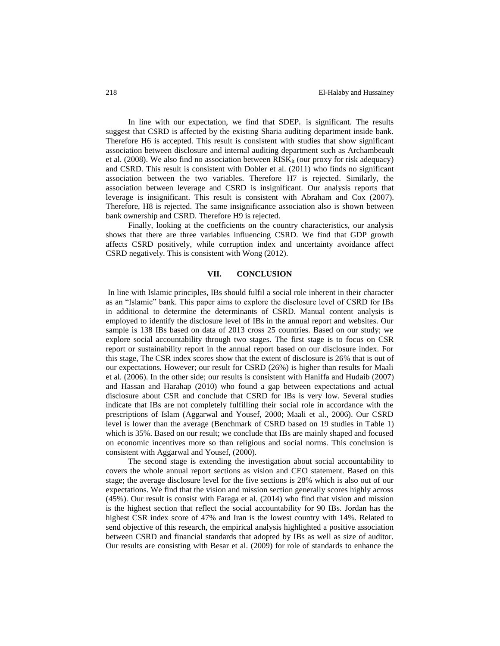In line with our expectation, we find that  $SDEP_{it}$  is significant. The results suggest that CSRD is affected by the existing Sharia auditing department inside bank. Therefore H6 is accepted. This result is consistent with studies that show significant association between disclosure and internal auditing department such as Archambeault et al. (2008). We also find no association between  $RISK_{it}$  (our proxy for risk adequacy) and CSRD. This result is consistent with Dobler et al. (2011) who finds no significant association between the two variables. Therefore H7 is rejected. Similarly, the association between leverage and CSRD is insignificant. Our analysis reports that leverage is insignificant. This result is consistent with Abraham and Cox (2007). Therefore, H8 is rejected. The same insignificance association also is shown between bank ownership and CSRD. Therefore H9 is rejected.

Finally, looking at the coefficients on the country characteristics, our analysis shows that there are three variables influencing CSRD. We find that GDP growth affects CSRD positively, while corruption index and uncertainty avoidance affect CSRD negatively. This is consistent with Wong (2012).

## **VII. CONCLUSION**

In line with Islamic principles, IBs should fulfil a social role inherent in their character as an "Islamic" bank. This paper aims to explore the disclosure level of CSRD for IBs in additional to determine the determinants of CSRD. Manual content analysis is employed to identify the disclosure level of IBs in the annual report and websites. Our sample is 138 IBs based on data of 2013 cross 25 countries. Based on our study; we explore social accountability through two stages. The first stage is to focus on CSR report or sustainability report in the annual report based on our disclosure index. For this stage, The CSR index scores show that the extent of disclosure is 26% that is out of our expectations. However; our result for CSRD (26%) is higher than results for Maali et al. (2006). In the other side; our results is consistent with Haniffa and Hudaib (2007) and Hassan and Harahap (2010) who found a gap between expectations and actual disclosure about CSR and conclude that CSRD for IBs is very low. Several studies indicate that IBs are not completely fulfilling their social role in accordance with the prescriptions of Islam (Aggarwal and Yousef, 2000; Maali et al., 2006). Our CSRD level is lower than the average (Benchmark of CSRD based on 19 studies in Table 1) which is 35%. Based on our result; we conclude that IBs are mainly shaped and focused on economic incentives more so than religious and social norms. This conclusion is consistent with Aggarwal and Yousef, (2000).

The second stage is extending the investigation about social accountability to covers the whole annual report sections as vision and CEO statement. Based on this stage; the average disclosure level for the five sections is 28% which is also out of our expectations. We find that the vision and mission section generally scores highly across (45%). Our result is consist with Faraga et al. (2014) who find that vision and mission is the highest section that reflect the social accountability for 90 IBs. Jordan has the highest CSR index score of 47% and Iran is the lowest country with 14%. Related to send objective of this research, the empirical analysis highlighted a positive association between CSRD and financial standards that adopted by IBs as well as size of auditor. Our results are consisting with Besar et al. (2009) for role of standards to enhance the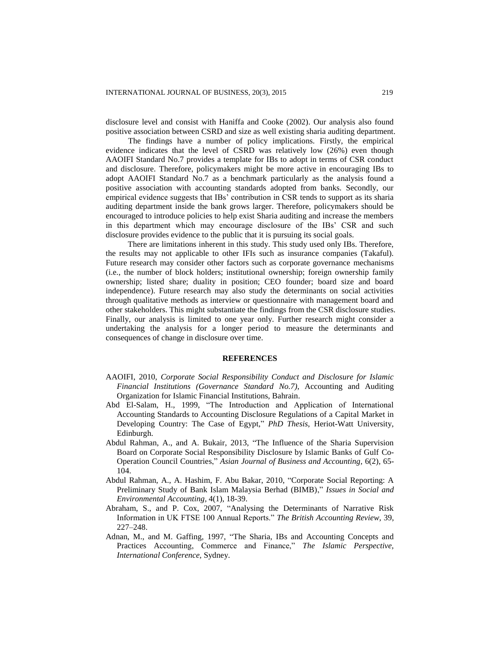disclosure level and consist with Haniffa and Cooke (2002). Our analysis also found positive association between CSRD and size as well existing sharia auditing department.

The findings have a number of policy implications. Firstly, the empirical evidence indicates that the level of CSRD was relatively low (26%) even though AAOIFI Standard No.7 provides a template for IBs to adopt in terms of CSR conduct and disclosure. Therefore, policymakers might be more active in encouraging IBs to adopt AAOIFI Standard No.7 as a benchmark particularly as the analysis found a positive association with accounting standards adopted from banks. Secondly, our empirical evidence suggests that IBs' contribution in CSR tends to support as its sharia auditing department inside the bank grows larger. Therefore, policymakers should be encouraged to introduce policies to help exist Sharia auditing and increase the members in this department which may encourage disclosure of the IBs' CSR and such disclosure provides evidence to the public that it is pursuing its social goals.

There are limitations inherent in this study. This study used only IBs. Therefore, the results may not applicable to other IFIs such as insurance companies (Takaful). Future research may consider other factors such as corporate governance mechanisms (i.e., the number of block holders; institutional ownership; foreign ownership family ownership; listed share; duality in position; CEO founder; board size and board independence). Future research may also study the determinants on social activities through qualitative methods as interview or questionnaire with management board and other stakeholders. This might substantiate the findings from the CSR disclosure studies. Finally, our analysis is limited to one year only. Further research might consider a undertaking the analysis for a longer period to measure the determinants and consequences of change in disclosure over time.

## **REFERENCES**

- AAOIFI, 2010, *Corporate Social Responsibility Conduct and Disclosure for Islamic Financial Institutions (Governance Standard No.7)*, Accounting and Auditing Organization for Islamic Financial Institutions, Bahrain.
- Abd El-Salam, H., 1999, "The Introduction and Application of International Accounting Standards to Accounting Disclosure Regulations of a Capital Market in Developing Country: The Case of Egypt," *PhD Thesis*, Heriot-Watt University, Edinburgh.
- Abdul Rahman, A., and A. Bukair, 2013, "The Influence of the Sharia Supervision Board on Corporate Social Responsibility Disclosure by Islamic Banks of Gulf Co-Operation Council Countries," *Asian Journal of Business and Accounting,* 6(2), 65- 104.
- Abdul Rahman, A., A. Hashim, F. Abu Bakar, 2010, "Corporate Social Reporting: A Preliminary Study of Bank Islam Malaysia Berhad (BIMB)," *Issues in Social and Environmental Accounting,* 4(1), 18-39.
- Abraham, S., and P. Cox, 2007, "Analysing the Determinants of Narrative Risk Information in UK FTSE 100 Annual Reports." *The British Accounting Review,* 39, 227–248.
- Adnan, M., and M. Gaffing, 1997, "The Sharia, IBs and Accounting Concepts and Practices Accounting, Commerce and Finance," *The Islamic Perspective, International Conference,* Sydney.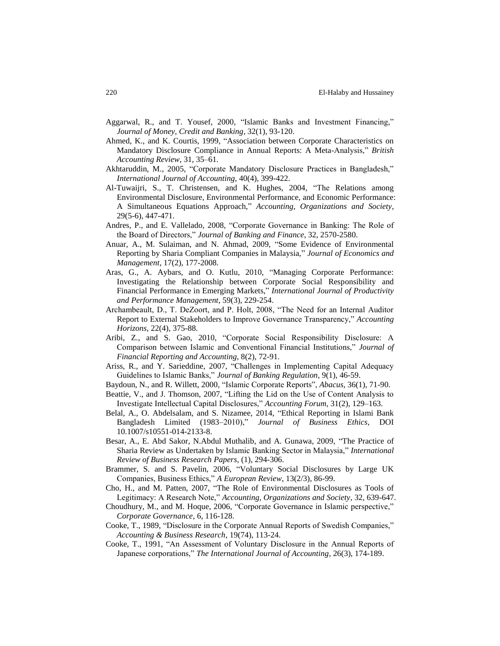- Aggarwal, R., and T. Yousef, 2000, "Islamic Banks and Investment Financing," *Journal of Money, Credit and Banking*, 32(1), 93-120.
- Ahmed, K., and K. Courtis, 1999, "Association between Corporate Characteristics on Mandatory Disclosure Compliance in Annual Reports: A Meta-Analysis," *British Accounting Review*, 31, 35–61.
- Akhtaruddin, M., 2005, "Corporate Mandatory Disclosure Practices in Bangladesh," *International Journal of Accounting,* 40(4), 399-422.
- Al-Tuwaijri, S., T. Christensen, and K. Hughes, 2004, "The Relations among Environmental Disclosure, Environmental Performance, and Economic Performance: A Simultaneous Equations Approach," *Accounting, Organizations and Society*, 29(5-6), 447-471.
- Andres, P., and E. Vallelado, 2008, "Corporate Governance in Banking: The Role of the Board of Directors," *Journal of Banking and Finance*, 32, 2570-2580.
- Anuar, A., M. Sulaiman, and N. Ahmad, 2009, "Some Evidence of Environmental Reporting by Sharia Compliant Companies in Malaysia," *Journal of Economics and Management*, 17(2), 177-2008.
- Aras, G., A. Aybars, and O. Kutlu, 2010, "Managing Corporate Performance: Investigating the Relationship between Corporate Social Responsibility and Financial Performance in Emerging Markets," *International Journal of Productivity and Performance Management*, 59(3), 229-254.
- Archambeault, D., T. DeZoort, and P. Holt, 2008, "The Need for an Internal Auditor Report to External Stakeholders to Improve Governance Transparency," *Accounting Horizons*, 22(4), 375-88.
- Aribi, Z., and S. Gao, 2010, "Corporate Social Responsibility Disclosure: A Comparison between Islamic and Conventional Financial Institutions," *Journal of Financial Reporting and Accounting*, 8(2), 72-91.
- Ariss, R., and Y. Sarieddine, 2007, "Challenges in Implementing Capital Adequacy Guidelines to Islamic Banks," *Journal of Banking Regulation*, 9(1), 46-59.
- Baydoun, N., and R. Willett, 2000, "Islamic Corporate Reports", *Abacus*, 36(1), 71-90.
- Beattie, V., and J. Thomson, 2007, "Lifting the Lid on the Use of Content Analysis to Investigate Intellectual Capital Disclosures," *Accounting Forum*, 31(2), 129–163.
- Belal, A., O. Abdelsalam, and S. Nizamee, 2014, "Ethical Reporting in Islami Bank Bangladesh Limited (1983–2010)," *Journal of Business Ethics*, DOI 10.1007/s10551-014-2133-8.
- Besar, A., E. Abd Sakor, N.Abdul Muthalib, and A. Gunawa, 2009, "The Practice of Sharia Review as Undertaken by Islamic Banking Sector in Malaysia," *International Review of Business Research Papers*, (1), 294-306.
- Brammer, S. and S. Pavelin, 2006, "Voluntary Social Disclosures by Large UK Companies, Business Ethics," *A European Review*, 13(2/3), 86-99.
- Cho, H., and M. Patten, 2007, "The Role of Environmental Disclosures as Tools of Legitimacy: A Research Note," *Accounting, Organizations and Society*, 32, 639-647.
- Choudhury, M., and M. Hoque, 2006, "Corporate Governance in Islamic perspective," *Corporate Governance*, 6, 116-128.
- Cooke, T., 1989, "Disclosure in the Corporate Annual Reports of Swedish Companies," *Accounting & Business Research*, 19(74), 113-24.
- Cooke, T., 1991, "An Assessment of Voluntary Disclosure in the Annual Reports of Japanese corporations," *The International Journal of Accounting*, 26(3), 174-189.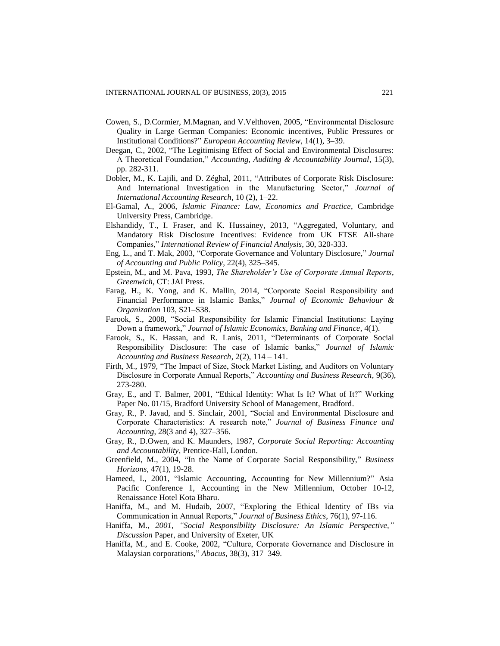- Cowen, S., D.Cormier, M.Magnan, and V.Velthoven, 2005, "Environmental Disclosure Quality in Large German Companies: Economic incentives, Public Pressures or Institutional Conditions?" *European Accounting Review*, 14(1), 3–39.
- Deegan, C., 2002, "The Legitimising Effect of Social and Environmental Disclosures: A Theoretical Foundation," *Accounting, Auditing & Accountability Journal*, 15(3), pp. 282-311.
- Dobler, M., K. Lajili, and D. Zéghal, 2011, "Attributes of Corporate Risk Disclosure: And International Investigation in the Manufacturing Sector," *Journal of International Accounting Research,* 10 (2), 1–22.
- El-Gamal, A., 2006, *Islamic Finance: Law, Economics and Practice*, Cambridge University Press, Cambridge.
- Elshandidy, T., I. Fraser, and K. Hussainey, 2013, "Aggregated, Voluntary, and Mandatory Risk Disclosure Incentives: Evidence from UK FTSE All-share Companies," *International Review of Financial Analysis*, 30, 320-333.
- Eng, L., and T. Mak, 2003, "Corporate Governance and Voluntary Disclosure," *Journal of Accounting and Public Policy*, 22(4), 325–345.
- Epstein, M., and M. Pava, 1993, *The Shareholder's Use of Corporate Annual Reports*, *Greenwich*, CT: JAI Press.
- Farag, H., K. Yong, and K. Mallin, 2014, "Corporate Social Responsibility and Financial Performance in Islamic Banks," *Journal of Economic Behaviour & Organization* 103, S21–S38.
- Farook, S., 2008, "Social Responsibility for Islamic Financial Institutions: Laying Down a framework," *Journal of Islamic Economics, Banking and Finance*, 4(1).
- Farook, S., K. Hassan, and R. Lanis, 2011, "Determinants of Corporate Social Responsibility Disclosure: The case of Islamic banks," *Journal of Islamic Accounting and Business Research*, 2(2), 114 – 141.
- Firth, M., 1979, "The Impact of Size, Stock Market Listing, and Auditors on Voluntary Disclosure in Corporate Annual Reports," *Accounting and Business Research*, 9(36), 273-280.
- Gray, E., and T. Balmer, 2001, "Ethical Identity: What Is It? What of It?" Working Paper No. 01/15, Bradford University School of Management, Bradford.
- Gray, R., P. Javad, and S. Sinclair, 2001, "Social and Environmental Disclosure and Corporate Characteristics: A research note," *Journal of Business Finance and Accounting*, 28(3 and 4), 327–356.
- Gray, R., D.Owen, and K. Maunders, 1987, *Corporate Social Reporting: Accounting and Accountability*, Prentice-Hall, London.
- Greenfield, M., 2004, "In the Name of Corporate Social Responsibility," *Business Horizons*, 47(1), 19-28.
- Hameed, I., 2001, "Islamic Accounting, Accounting for New Millennium?" Asia Pacific Conference 1, Accounting in the New Millennium, October 10-12, Renaissance Hotel Kota Bharu.
- Haniffa, M., and M. Hudaib, 2007, "Exploring the Ethical Identity of IBs via Communication in Annual Reports," *Journal of Business Ethics*, 76(1), 97-116.
- Haniffa, M., *2001, "Social Responsibility Disclosure: An Islamic Perspective," Discussion* Paper, and University of Exeter, UK
- Haniffa, M., and E. Cooke, 2002, "Culture, Corporate Governance and Disclosure in Malaysian corporations," *Abacus*, 38(3), 317–349.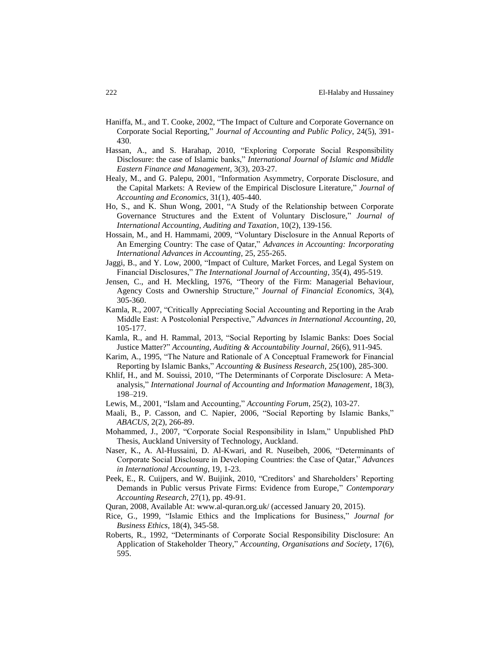- Haniffa, M., and T. Cooke, 2002, "The Impact of Culture and Corporate Governance on Corporate Social Reporting," *Journal of Accounting and Public Policy*, 24(5), 391- 430.
- Hassan, A., and S. Harahap, 2010, "Exploring Corporate Social Responsibility Disclosure: the case of Islamic banks," *International Journal of Islamic and Middle Eastern Finance and Management*, 3(3), 203-27.
- Healy, M., and G. Palepu, 2001, "Information Asymmetry, Corporate Disclosure, and the Capital Markets: A Review of the Empirical Disclosure Literature," *Journal of Accounting and Economics*, 31(1), 405-440.
- Ho, S., and K. Shun Wong, 2001, "A Study of the Relationship between Corporate Governance Structures and the Extent of Voluntary Disclosure," *Journal of International Accounting, Auditing and Taxation*, 10(2), 139-156.
- Hossain, M., and H. Hammami, 2009, "Voluntary Disclosure in the Annual Reports of An Emerging Country: The case of Qatar," *Advances in Accounting: Incorporating International Advances in Accounting,* 25, 255-265.
- Jaggi, B., and Y. Low, 2000, "Impact of Culture, Market Forces, and Legal System on Financial Disclosures," *The International Journal of Accounting*, 35(4), 495-519.
- Jensen, C., and H. Meckling, 1976, "Theory of the Firm: Managerial Behaviour, Agency Costs and Ownership Structure," *Journal of Financial Economics*, 3(4), 305-360.
- Kamla, R., 2007, "Critically Appreciating Social Accounting and Reporting in the Arab Middle East: A Postcolonial Perspective," *Advances in International Accounting*, 20, 105-177.
- Kamla, R., and H. Rammal, 2013, "Social Reporting by Islamic Banks: Does Social Justice Matter?" *Accounting, Auditing & Accountability Journal*, 26(6), 911-945.
- Karim, A., 1995, "The Nature and Rationale of A Conceptual Framework for Financial Reporting by Islamic Banks," *Accounting & Business Research*, 25(100), 285-300.
- Khlif, H., and M. Souissi, 2010, "The Determinants of Corporate Disclosure: A Metaanalysis," *International Journal of Accounting and Information Management*, 18(3), 198–219.
- Lewis, M., 2001, "Islam and Accounting," *Accounting Forum*, 25(2), 103-27.
- Maali, B., P. Casson, and C. Napier, 2006, "Social Reporting by Islamic Banks," *ABACUS*, 2(2), 266-89.
- Mohammed, J., 2007, "Corporate Social Responsibility in Islam," Unpublished PhD Thesis, Auckland University of Technology, Auckland.
- Naser, K., A. Al-Hussaini, D. Al-Kwari, and R. Nuseibeh, 2006, "Determinants of Corporate Social Disclosure in Developing Countries: the Case of Qatar," *Advances in International Accounting*, 19, 1-23.
- Peek, E., R. Cuijpers, and W. Buijink, 2010, "Creditors' and Shareholders' Reporting Demands in Public versus Private Firms: Evidence from Europe," *Contemporary Accounting Research*, 27(1), pp. 49-91.
- Quran, 2008, Available At: www.al-quran.org.uk/ (accessed January 20, 2015).
- Rice, G., 1999, "Islamic Ethics and the Implications for Business," *Journal for Business Ethics*, 18(4), 345-58.
- Roberts, R., 1992, "Determinants of Corporate Social Responsibility Disclosure: An Application of Stakeholder Theory," *Accounting, Organisations and Society*, 17(6), 595.